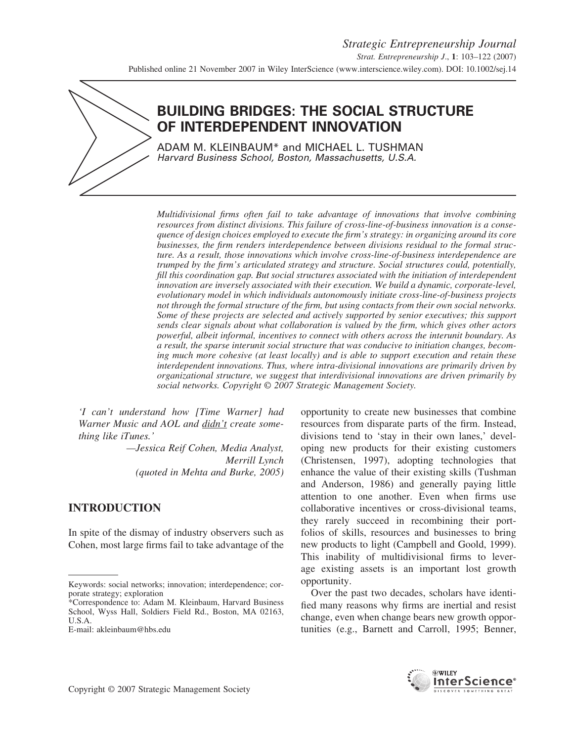

# **BUILDING BRIDGES: THE SOCIAL STRUCTURE OF INTERDEPENDENT INNOVATION**

ADAM M. KLEINBAUM\* and MICHAEL L. TUSHMAN *Harvard Business School, Boston, Massachusetts, U.S.A.*

*Multidivisional firms often fail to take advantage of innovations that involve combining resources from distinct divisions. This failure of cross-line-of-business innovation is a conseguence of design choices employed to execute the firm's strategy: in organizing around its core* businesses, the firm renders interdependence between divisions residual to the formal struc*ture. As a result, those innovations which involve cross-line-of-business interdependence are trumped by the firm's articulated strategy and structure. Social structures could, potentially,* fill this coordination gap. But social structures associated with the initiation of interdependent *innovation are inversely associated with their execution. We build a dynamic, corporate-level, evolutionary model in which individuals autonomously initiate cross-line-of-business projects not through the formal structure of the firm, but using contacts from their own social networks. Some of these projects are selected and actively supported by senior executives; this support sends clear signals about what collaboration is valued by the firm, which gives other actors powerful, albeit informal, incentives to connect with others across the interunit boundary. As a result, the sparse interunit social structure that was conducive to initiation changes, becoming much more cohesive (at least locally) and is able to support execution and retain these interdependent innovations. Thus, where intra-divisional innovations are primarily driven by organizational structure, we suggest that interdivisional innovations are driven primarily by social networks. Copyright © 2007 Strategic Management Society.*

*'I can't understand how [Time Warner] had Warner Music and AOL and didn't create something like iTunes.'*

> *—Jessica Reif Cohen, Media Analyst, Merrill Lynch (quoted in Mehta and Burke, 2005)*

## **INTRODUCTION**

In spite of the dismay of industry observers such as Cohen, most large firms fail to take advantage of the

E-mail: akleinbaum@hbs.edu

opportunity to create new businesses that combine resources from disparate parts of the firm. Instead, divisions tend to 'stay in their own lanes,' developing new products for their existing customers (Christensen, 1997), adopting technologies that enhance the value of their existing skills (Tushman and Anderson, 1986) and generally paying little attention to one another. Even when firms use collaborative incentives or cross-divisional teams, they rarely succeed in recombining their portfolios of skills, resources and businesses to bring new products to light (Campbell and Goold, 1999). This inability of multidivisional firms to leverage existing assets is an important lost growth opportunity.

Over the past two decades, scholars have identified many reasons why firms are inertial and resist change, even when change bears new growth opportunities (e.g., Barnett and Carroll, 1995; Benner,



Keywords: social networks; innovation; interdependence; corporate strategy; exploration

<sup>\*</sup>Correspondence to: Adam M. Kleinbaum, Harvard Business School, Wyss Hall, Soldiers Field Rd., Boston, MA 02163, U.S.A.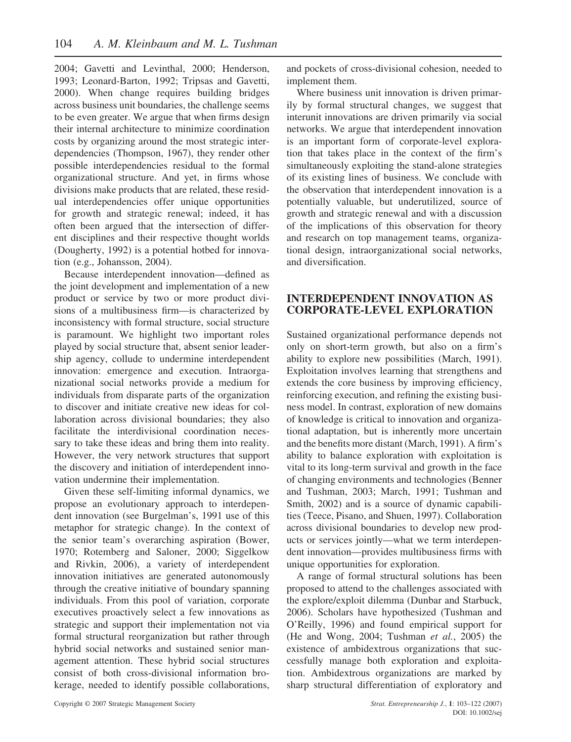2004; Gavetti and Levinthal, 2000; Henderson, 1993; Leonard-Barton, 1992; Tripsas and Gavetti, 2000). When change requires building bridges across business unit boundaries, the challenge seems to be even greater. We argue that when firms design their internal architecture to minimize coordination costs by organizing around the most strategic interdependencies (Thompson, 1967), they render other possible interdependencies residual to the formal organizational structure. And yet, in firms whose divisions make products that are related, these residual interdependencies offer unique opportunities for growth and strategic renewal; indeed, it has often been argued that the intersection of different disciplines and their respective thought worlds (Dougherty, 1992) is a potential hotbed for innovation (e.g., Johansson, 2004).

Because interdependent innovation—defined as the joint development and implementation of a new product or service by two or more product divisions of a multibusiness firm—is characterized by inconsistency with formal structure, social structure is paramount. We highlight two important roles played by social structure that, absent senior leadership agency, collude to undermine interdependent innovation: emergence and execution. Intraorganizational social networks provide a medium for individuals from disparate parts of the organization to discover and initiate creative new ideas for collaboration across divisional boundaries; they also facilitate the interdivisional coordination necessary to take these ideas and bring them into reality. However, the very network structures that support the discovery and initiation of interdependent innovation undermine their implementation.

Given these self-limiting informal dynamics, we propose an evolutionary approach to interdependent innovation (see Burgelman's, 1991 use of this metaphor for strategic change). In the context of the senior team's overarching aspiration (Bower, 1970; Rotemberg and Saloner, 2000; Siggelkow and Rivkin, 2006), a variety of interdependent innovation initiatives are generated autonomously through the creative initiative of boundary spanning individuals. From this pool of variation, corporate executives proactively select a few innovations as strategic and support their implementation not via formal structural reorganization but rather through hybrid social networks and sustained senior management attention. These hybrid social structures consist of both cross-divisional information brokerage, needed to identify possible collaborations,

and pockets of cross-divisional cohesion, needed to implement them.

Where business unit innovation is driven primarily by formal structural changes, we suggest that interunit innovations are driven primarily via social networks. We argue that interdependent innovation is an important form of corporate-level exploration that takes place in the context of the firm's simultaneously exploiting the stand-alone strategies of its existing lines of business. We conclude with the observation that interdependent innovation is a potentially valuable, but underutilized, source of growth and strategic renewal and with a discussion of the implications of this observation for theory and research on top management teams, organizational design, intraorganizational social networks, and diversification.

## **INTERDEPENDENT INNOVATION AS CORPORATE-LEVEL EXPLORATION**

Sustained organizational performance depends not only on short-term growth, but also on a firm's ability to explore new possibilities (March, 1991). Exploitation involves learning that strengthens and extends the core business by improving efficiency, reinforcing execution, and refining the existing business model. In contrast, exploration of new domains of knowledge is critical to innovation and organizational adaptation, but is inherently more uncertain and the benefits more distant (March, 1991). A firm's ability to balance exploration with exploitation is vital to its long-term survival and growth in the face of changing environments and technologies (Benner and Tushman, 2003; March, 1991; Tushman and Smith, 2002) and is a source of dynamic capabilities (Teece, Pisano, and Shuen, 1997). Collaboration across divisional boundaries to develop new products or services jointly—what we term interdependent innovation—provides multibusiness firms with unique opportunities for exploration.

A range of formal structural solutions has been proposed to attend to the challenges associated with the explore/exploit dilemma (Dunbar and Starbuck, 2006). Scholars have hypothesized (Tushman and O'Reilly, 1996) and found empirical support for (He and Wong, 2004; Tushman *et al.*, 2005) the existence of ambidextrous organizations that successfully manage both exploration and exploitation. Ambidextrous organizations are marked by sharp structural differentiation of exploratory and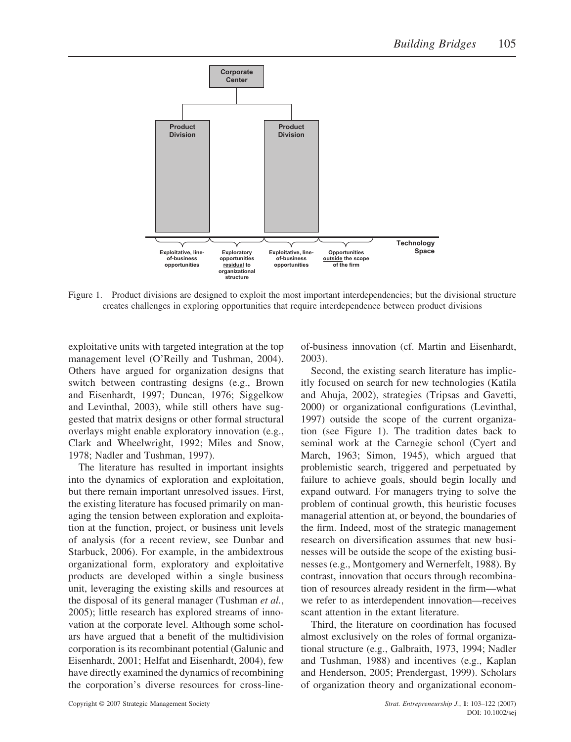

Figure 1. Product divisions are designed to exploit the most important interdependencies; but the divisional structure creates challenges in exploring opportunities that require interdependence between product divisions

exploitative units with targeted integration at the top management level (O'Reilly and Tushman, 2004). Others have argued for organization designs that switch between contrasting designs (e.g., Brown and Eisenhardt, 1997; Duncan, 1976; Siggelkow and Levinthal, 2003), while still others have suggested that matrix designs or other formal structural overlays might enable exploratory innovation (e.g., Clark and Wheelwright, 1992; Miles and Snow, 1978; Nadler and Tushman, 1997).

The literature has resulted in important insights into the dynamics of exploration and exploitation, but there remain important unresolved issues. First, the existing literature has focused primarily on managing the tension between exploration and exploitation at the function, project, or business unit levels of analysis (for a recent review, see Dunbar and Starbuck, 2006). For example, in the ambidextrous organizational form, exploratory and exploitative products are developed within a single business unit, leveraging the existing skills and resources at the disposal of its general manager (Tushman *et al.*, 2005); little research has explored streams of innovation at the corporate level. Although some scholars have argued that a benefit of the multidivision corporation is its recombinant potential (Galunic and Eisenhardt, 2001; Helfat and Eisenhardt, 2004), few have directly examined the dynamics of recombining the corporation's diverse resources for cross-lineof-business innovation (cf. Martin and Eisenhardt, 2003).

Second, the existing search literature has implicitly focused on search for new technologies (Katila and Ahuja, 2002), strategies (Tripsas and Gavetti, 2000) or organizational configurations (Levinthal, 1997) outside the scope of the current organization (see Figure 1). The tradition dates back to seminal work at the Carnegie school (Cyert and March, 1963; Simon, 1945), which argued that problemistic search, triggered and perpetuated by failure to achieve goals, should begin locally and expand outward. For managers trying to solve the problem of continual growth, this heuristic focuses managerial attention at, or beyond, the boundaries of the firm. Indeed, most of the strategic management research on diversification assumes that new businesses will be outside the scope of the existing businesses (e.g., Montgomery and Wernerfelt, 1988). By contrast, innovation that occurs through recombination of resources already resident in the firm—what we refer to as interdependent innovation—receives scant attention in the extant literature.

Third, the literature on coordination has focused almost exclusively on the roles of formal organizational structure (e.g., Galbraith, 1973, 1994; Nadler and Tushman, 1988) and incentives (e.g., Kaplan and Henderson, 2005; Prendergast, 1999). Scholars of organization theory and organizational econom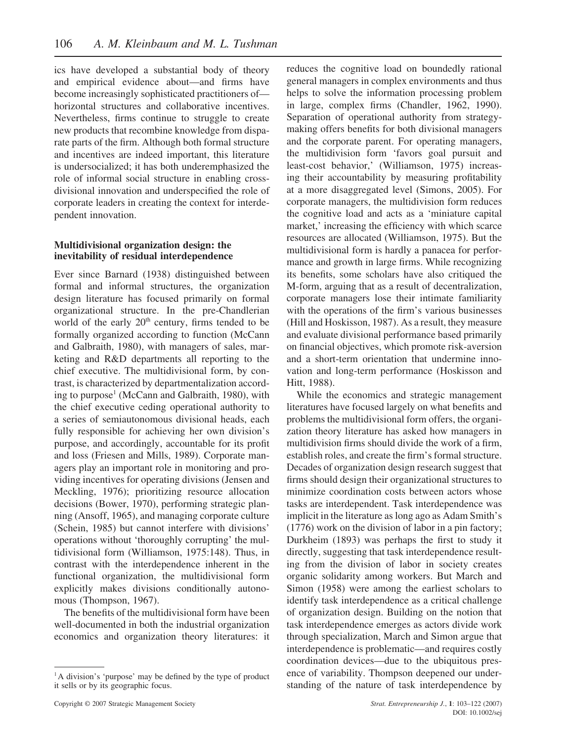ics have developed a substantial body of theory and empirical evidence about—and firms have become increasingly sophisticated practitioners of horizontal structures and collaborative incentives. Nevertheless, firms continue to struggle to create new products that recombine knowledge from disparate parts of the firm. Although both formal structure and incentives are indeed important, this literature is undersocialized; it has both underemphasized the role of informal social structure in enabling crossdivisional innovation and underspecified the role of corporate leaders in creating the context for interdependent innovation.

#### **Multidivisional organization design: the inevitability of residual interdependence**

Ever since Barnard (1938) distinguished between formal and informal structures, the organization design literature has focused primarily on formal organizational structure. In the pre-Chandlerian world of the early  $20<sup>th</sup>$  century, firms tended to be formally organized according to function (McCann and Galbraith, 1980), with managers of sales, marketing and R&D departments all reporting to the chief executive. The multidivisional form, by contrast, is characterized by departmentalization according to purpose<sup>1</sup> (McCann and Galbraith, 1980), with the chief executive ceding operational authority to a series of semiautonomous divisional heads, each fully responsible for achieving her own division's purpose, and accordingly, accountable for its profit and loss (Friesen and Mills, 1989). Corporate managers play an important role in monitoring and providing incentives for operating divisions (Jensen and Meckling, 1976); prioritizing resource allocation decisions (Bower, 1970), performing strategic planning (Ansoff, 1965), and managing corporate culture (Schein, 1985) but cannot interfere with divisions' operations without 'thoroughly corrupting' the multidivisional form (Williamson, 1975:148). Thus, in contrast with the interdependence inherent in the functional organization, the multidivisional form explicitly makes divisions conditionally autonomous (Thompson, 1967).

The benefits of the multidivisional form have been well-documented in both the industrial organization economics and organization theory literatures: it reduces the cognitive load on boundedly rational general managers in complex environments and thus helps to solve the information processing problem in large, complex firms (Chandler, 1962, 1990). Separation of operational authority from strategymaking offers benefits for both divisional managers and the corporate parent. For operating managers, the multidivision form 'favors goal pursuit and least-cost behavior,' (Williamson, 1975) increasing their accountability by measuring profitability at a more disaggregated level (Simons, 2005). For corporate managers, the multidivision form reduces the cognitive load and acts as a 'miniature capital market,' increasing the efficiency with which scarce resources are allocated (Williamson, 1975). But the multidivisional form is hardly a panacea for performance and growth in large firms. While recognizing its benefits, some scholars have also critiqued the M-form, arguing that as a result of decentralization, corporate managers lose their intimate familiarity with the operations of the firm's various businesses (Hill and Hoskisson, 1987). As a result, they measure and evaluate divisional performance based primarily on financial objectives, which promote risk-aversion and a short-term orientation that undermine innovation and long-term performance (Hoskisson and Hitt, 1988).

While the economics and strategic management literatures have focused largely on what benefits and problems the multidivisional form offers, the organization theory literature has asked how managers in multidivision firms should divide the work of a firm, establish roles, and create the firm's formal structure. Decades of organization design research suggest that firms should design their organizational structures to minimize coordination costs between actors whose tasks are interdependent. Task interdependence was implicit in the literature as long ago as Adam Smith's (1776) work on the division of labor in a pin factory; Durkheim (1893) was perhaps the first to study it directly, suggesting that task interdependence resulting from the division of labor in society creates organic solidarity among workers. But March and Simon (1958) were among the earliest scholars to identify task interdependence as a critical challenge of organization design. Building on the notion that task interdependence emerges as actors divide work through specialization, March and Simon argue that interdependence is problematic—and requires costly coordination devices—due to the ubiquitous presence of variability. Thompson deepened our understanding of the nature of task interdependence by

<sup>&</sup>lt;sup>1</sup>A division's 'purpose' may be defined by the type of product it sells or by its geographic focus.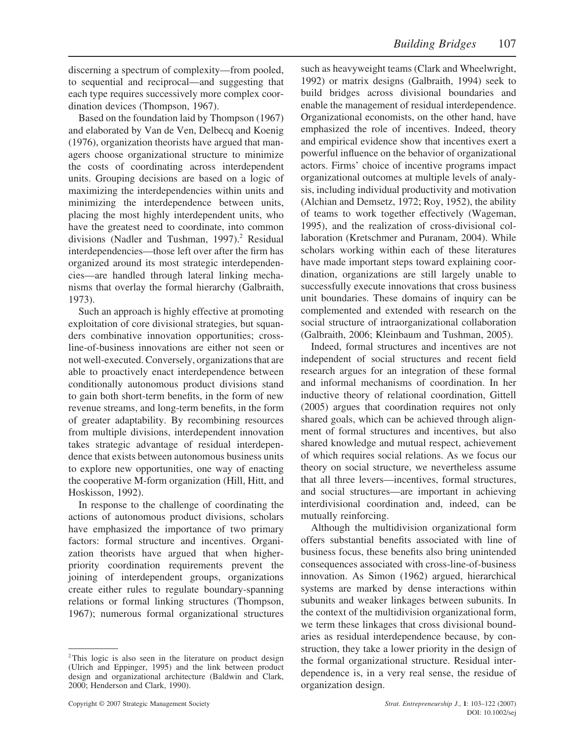discerning a spectrum of complexity—from pooled, to sequential and reciprocal—and suggesting that each type requires successively more complex coordination devices (Thompson, 1967).

Based on the foundation laid by Thompson (1967) and elaborated by Van de Ven, Delbecq and Koenig (1976), organization theorists have argued that managers choose organizational structure to minimize the costs of coordinating across interdependent units. Grouping decisions are based on a logic of maximizing the interdependencies within units and minimizing the interdependence between units, placing the most highly interdependent units, who have the greatest need to coordinate, into common divisions (Nadler and Tushman, 1997).<sup>2</sup> Residual interdependencies—those left over after the firm has organized around its most strategic interdependencies—are handled through lateral linking mechanisms that overlay the formal hierarchy (Galbraith, 1973).

Such an approach is highly effective at promoting exploitation of core divisional strategies, but squanders combinative innovation opportunities; crossline-of-business innovations are either not seen or not well-executed. Conversely, organizations that are able to proactively enact interdependence between conditionally autonomous product divisions stand to gain both short-term benefits, in the form of new revenue streams, and long-term benefits, in the form of greater adaptability. By recombining resources from multiple divisions, interdependent innovation takes strategic advantage of residual interdependence that exists between autonomous business units to explore new opportunities, one way of enacting the cooperative M-form organization (Hill, Hitt, and Hoskisson, 1992).

In response to the challenge of coordinating the actions of autonomous product divisions, scholars have emphasized the importance of two primary factors: formal structure and incentives. Organization theorists have argued that when higherpriority coordination requirements prevent the joining of interdependent groups, organizations create either rules to regulate boundary-spanning relations or formal linking structures (Thompson, 1967); numerous formal organizational structures

<sup>2</sup>This logic is also seen in the literature on product design (Ulrich and Eppinger, 1995) and the link between product design and organizational architecture (Baldwin and Clark, 2000; Henderson and Clark, 1990).

such as heavyweight teams (Clark and Wheelwright, 1992) or matrix designs (Galbraith, 1994) seek to build bridges across divisional boundaries and enable the management of residual interdependence. Organizational economists, on the other hand, have emphasized the role of incentives. Indeed, theory and empirical evidence show that incentives exert a powerful influence on the behavior of organizational actors. Firms' choice of incentive programs impact organizational outcomes at multiple levels of analysis, including individual productivity and motivation (Alchian and Demsetz, 1972; Roy, 1952), the ability of teams to work together effectively (Wageman, 1995), and the realization of cross-divisional collaboration (Kretschmer and Puranam, 2004). While scholars working within each of these literatures have made important steps toward explaining coordination, organizations are still largely unable to successfully execute innovations that cross business unit boundaries. These domains of inquiry can be complemented and extended with research on the social structure of intraorganizational collaboration (Galbraith, 2006; Kleinbaum and Tushman, 2005).

Indeed, formal structures and incentives are not independent of social structures and recent field research argues for an integration of these formal and informal mechanisms of coordination. In her inductive theory of relational coordination, Gittell (2005) argues that coordination requires not only shared goals, which can be achieved through alignment of formal structures and incentives, but also shared knowledge and mutual respect, achievement of which requires social relations. As we focus our theory on social structure, we nevertheless assume that all three levers—incentives, formal structures, and social structures—are important in achieving interdivisional coordination and, indeed, can be mutually reinforcing.

Although the multidivision organizational form offers substantial benefits associated with line of business focus, these benefits also bring unintended consequences associated with cross-line-of-business innovation. As Simon (1962) argued, hierarchical systems are marked by dense interactions within subunits and weaker linkages between subunits. In the context of the multidivision organizational form, we term these linkages that cross divisional boundaries as residual interdependence because, by construction, they take a lower priority in the design of the formal organizational structure. Residual interdependence is, in a very real sense, the residue of organization design.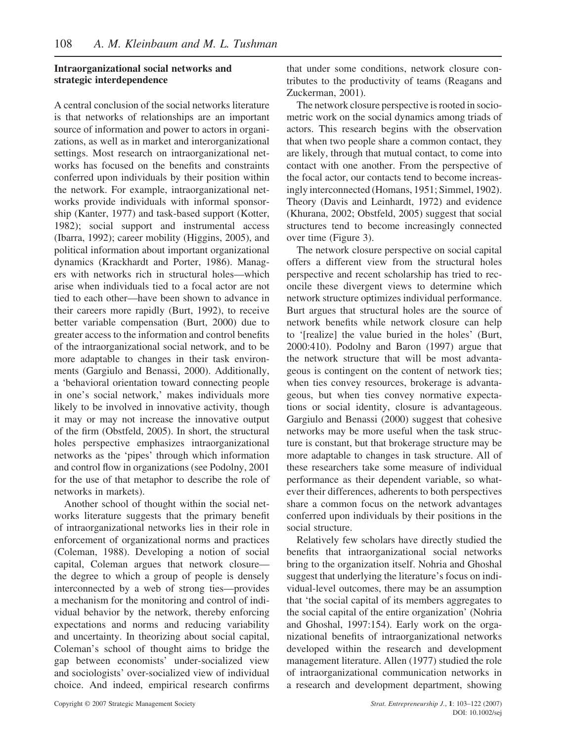#### **Intraorganizational social networks and strategic interdependence**

A central conclusion of the social networks literature is that networks of relationships are an important source of information and power to actors in organizations, as well as in market and interorganizational settings. Most research on intraorganizational networks has focused on the benefits and constraints conferred upon individuals by their position within the network. For example, intraorganizational networks provide individuals with informal sponsorship (Kanter, 1977) and task-based support (Kotter, 1982); social support and instrumental access (Ibarra, 1992); career mobility (Higgins, 2005), and political information about important organizational dynamics (Krackhardt and Porter, 1986). Managers with networks rich in structural holes—which arise when individuals tied to a focal actor are not tied to each other—have been shown to advance in their careers more rapidly (Burt, 1992), to receive better variable compensation (Burt, 2000) due to greater access to the information and control benefits of the intraorganizational social network, and to be more adaptable to changes in their task environments (Gargiulo and Benassi, 2000). Additionally, a 'behavioral orientation toward connecting people in one's social network,' makes individuals more likely to be involved in innovative activity, though it may or may not increase the innovative output of the firm (Obstfeld, 2005). In short, the structural holes perspective emphasizes intraorganizational networks as the 'pipes' through which information and control flow in organizations (see Podolny, 2001 for the use of that metaphor to describe the role of networks in markets).

Another school of thought within the social networks literature suggests that the primary benefit of intraorganizational networks lies in their role in enforcement of organizational norms and practices (Coleman, 1988). Developing a notion of social capital, Coleman argues that network closure the degree to which a group of people is densely interconnected by a web of strong ties—provides a mechanism for the monitoring and control of individual behavior by the network, thereby enforcing expectations and norms and reducing variability and uncertainty. In theorizing about social capital, Coleman's school of thought aims to bridge the gap between economists' under-socialized view and sociologists' over-socialized view of individual choice. And indeed, empirical research confirms

that under some conditions, network closure contributes to the productivity of teams (Reagans and Zuckerman, 2001).

The network closure perspective is rooted in sociometric work on the social dynamics among triads of actors. This research begins with the observation that when two people share a common contact, they are likely, through that mutual contact, to come into contact with one another. From the perspective of the focal actor, our contacts tend to become increasingly interconnected (Homans, 1951; Simmel, 1902). Theory (Davis and Leinhardt, 1972) and evidence (Khurana, 2002; Obstfeld, 2005) suggest that social structures tend to become increasingly connected over time (Figure 3).

The network closure perspective on social capital offers a different view from the structural holes perspective and recent scholarship has tried to reconcile these divergent views to determine which network structure optimizes individual performance. Burt argues that structural holes are the source of network benefits while network closure can help to '[realize] the value buried in the holes' (Burt, 2000:410). Podolny and Baron (1997) argue that the network structure that will be most advantageous is contingent on the content of network ties; when ties convey resources, brokerage is advantageous, but when ties convey normative expectations or social identity, closure is advantageous. Gargiulo and Benassi (2000) suggest that cohesive networks may be more useful when the task structure is constant, but that brokerage structure may be more adaptable to changes in task structure. All of these researchers take some measure of individual performance as their dependent variable, so whatever their differences, adherents to both perspectives share a common focus on the network advantages conferred upon individuals by their positions in the social structure.

Relatively few scholars have directly studied the benefits that intraorganizational social networks bring to the organization itself. Nohria and Ghoshal suggest that underlying the literature's focus on individual-level outcomes, there may be an assumption that 'the social capital of its members aggregates to the social capital of the entire organization' (Nohria and Ghoshal, 1997:154). Early work on the organizational benefits of intraorganizational networks developed within the research and development management literature. Allen (1977) studied the role of intraorganizational communication networks in a research and development department, showing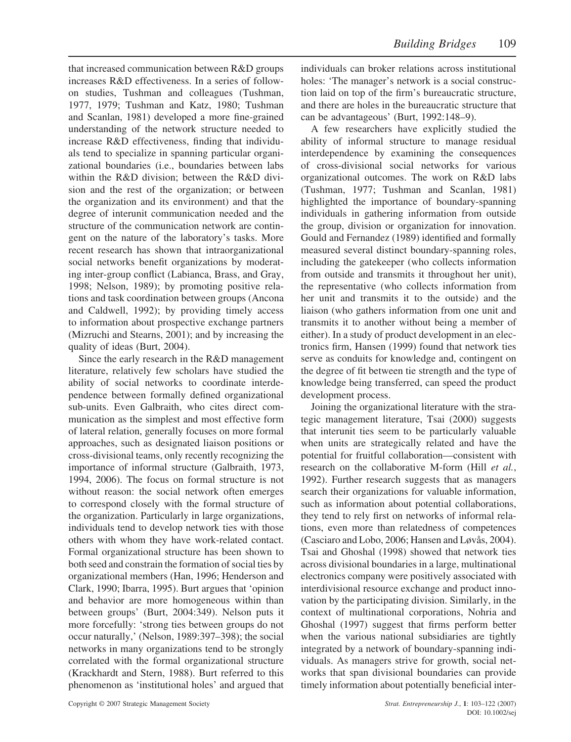that increased communication between R&D groups increases R&D effectiveness. In a series of followon studies, Tushman and colleagues (Tushman, 1977, 1979; Tushman and Katz, 1980; Tushman and Scanlan, 1981) developed a more fine-grained understanding of the network structure needed to increase R&D effectiveness, finding that individuals tend to specialize in spanning particular organizational boundaries (i.e., boundaries between labs within the R&D division; between the R&D division and the rest of the organization; or between the organization and its environment) and that the degree of interunit communication needed and the structure of the communication network are contingent on the nature of the laboratory's tasks. More recent research has shown that intraorganizational social networks benefit organizations by moderating inter-group conflict (Labianca, Brass, and Gray, 1998; Nelson, 1989); by promoting positive relations and task coordination between groups (Ancona and Caldwell, 1992); by providing timely access to information about prospective exchange partners (Mizruchi and Stearns, 2001); and by increasing the quality of ideas (Burt, 2004).

Since the early research in the R&D management literature, relatively few scholars have studied the ability of social networks to coordinate interdependence between formally defined organizational sub-units. Even Galbraith, who cites direct communication as the simplest and most effective form of lateral relation, generally focuses on more formal approaches, such as designated liaison positions or cross-divisional teams, only recently recognizing the importance of informal structure (Galbraith, 1973, 1994, 2006). The focus on formal structure is not without reason: the social network often emerges to correspond closely with the formal structure of the organization. Particularly in large organizations, individuals tend to develop network ties with those others with whom they have work-related contact. Formal organizational structure has been shown to both seed and constrain the formation of social ties by organizational members (Han, 1996; Henderson and Clark, 1990; Ibarra, 1995). Burt argues that 'opinion and behavior are more homogeneous within than between groups' (Burt, 2004:349). Nelson puts it more forcefully: 'strong ties between groups do not occur naturally,' (Nelson, 1989:397–398); the social networks in many organizations tend to be strongly correlated with the formal organizational structure (Krackhardt and Stern, 1988). Burt referred to this phenomenon as 'institutional holes' and argued that individuals can broker relations across institutional holes: 'The manager's network is a social construction laid on top of the firm's bureaucratic structure, and there are holes in the bureaucratic structure that can be advantageous' (Burt, 1992:148–9).

A few researchers have explicitly studied the ability of informal structure to manage residual interdependence by examining the consequences of cross-divisional social networks for various organizational outcomes. The work on R&D labs (Tushman, 1977; Tushman and Scanlan, 1981) highlighted the importance of boundary-spanning individuals in gathering information from outside the group, division or organization for innovation. Gould and Fernandez (1989) identified and formally measured several distinct boundary-spanning roles, including the gatekeeper (who collects information from outside and transmits it throughout her unit), the representative (who collects information from her unit and transmits it to the outside) and the liaison (who gathers information from one unit and transmits it to another without being a member of either). In a study of product development in an electronics firm, Hansen (1999) found that network ties serve as conduits for knowledge and, contingent on the degree of fit between tie strength and the type of knowledge being transferred, can speed the product development process.

Joining the organizational literature with the strategic management literature, Tsai (2000) suggests that interunit ties seem to be particularly valuable when units are strategically related and have the potential for fruitful collaboration—consistent with research on the collaborative M-form (Hill *et al.*, 1992). Further research suggests that as managers search their organizations for valuable information, such as information about potential collaborations, they tend to rely first on networks of informal relations, even more than relatedness of competences (Casciaro and Lobo, 2006; Hansen and Løvås, 2004). Tsai and Ghoshal (1998) showed that network ties across divisional boundaries in a large, multinational electronics company were positively associated with interdivisional resource exchange and product innovation by the participating division. Similarly, in the context of multinational corporations, Nohria and Ghoshal (1997) suggest that firms perform better when the various national subsidiaries are tightly integrated by a network of boundary-spanning individuals. As managers strive for growth, social networks that span divisional boundaries can provide timely information about potentially beneficial inter-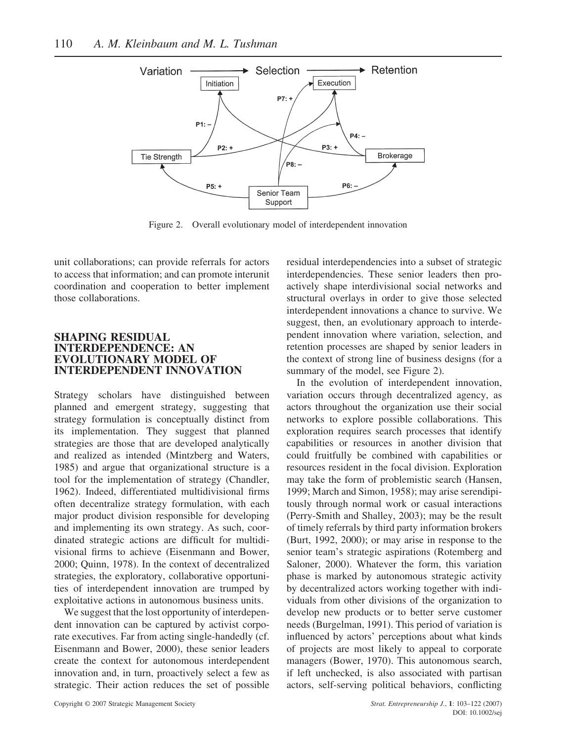

Figure 2. Overall evolutionary model of interdependent innovation

unit collaborations; can provide referrals for actors to access that information; and can promote interunit coordination and cooperation to better implement those collaborations.

#### **SHAPING RESIDUAL INTERDEPENDENCE: AN EVOLUTIONARY MODEL OF INTERDEPENDENT INNOVATION**

Strategy scholars have distinguished between planned and emergent strategy, suggesting that strategy formulation is conceptually distinct from its implementation. They suggest that planned strategies are those that are developed analytically and realized as intended (Mintzberg and Waters, 1985) and argue that organizational structure is a tool for the implementation of strategy (Chandler, 1962). Indeed, differentiated multidivisional firms often decentralize strategy formulation, with each major product division responsible for developing and implementing its own strategy. As such, coordinated strategic actions are difficult for multidivisional firms to achieve (Eisenmann and Bower, 2000; Quinn, 1978). In the context of decentralized strategies, the exploratory, collaborative opportunities of interdependent innovation are trumped by exploitative actions in autonomous business units.

We suggest that the lost opportunity of interdependent innovation can be captured by activist corporate executives. Far from acting single-handedly (cf. Eisenmann and Bower, 2000), these senior leaders create the context for autonomous interdependent innovation and, in turn, proactively select a few as strategic. Their action reduces the set of possible residual interdependencies into a subset of strategic interdependencies. These senior leaders then proactively shape interdivisional social networks and structural overlays in order to give those selected interdependent innovations a chance to survive. We suggest, then, an evolutionary approach to interdependent innovation where variation, selection, and retention processes are shaped by senior leaders in the context of strong line of business designs (for a summary of the model, see Figure 2).

In the evolution of interdependent innovation, variation occurs through decentralized agency, as actors throughout the organization use their social networks to explore possible collaborations. This exploration requires search processes that identify capabilities or resources in another division that could fruitfully be combined with capabilities or resources resident in the focal division. Exploration may take the form of problemistic search (Hansen, 1999; March and Simon, 1958); may arise serendipitously through normal work or casual interactions (Perry-Smith and Shalley, 2003); may be the result of timely referrals by third party information brokers (Burt, 1992, 2000); or may arise in response to the senior team's strategic aspirations (Rotemberg and Saloner, 2000). Whatever the form, this variation phase is marked by autonomous strategic activity by decentralized actors working together with individuals from other divisions of the organization to develop new products or to better serve customer needs (Burgelman, 1991). This period of variation is influenced by actors' perceptions about what kinds of projects are most likely to appeal to corporate managers (Bower, 1970). This autonomous search, if left unchecked, is also associated with partisan actors, self-serving political behaviors, conflicting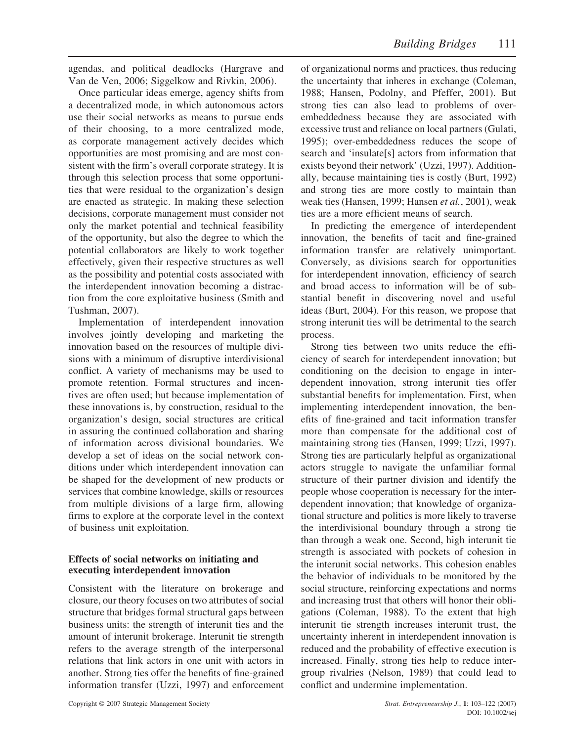agendas, and political deadlocks (Hargrave and Van de Ven, 2006; Siggelkow and Rivkin, 2006).

Once particular ideas emerge, agency shifts from a decentralized mode, in which autonomous actors use their social networks as means to pursue ends of their choosing, to a more centralized mode, as corporate management actively decides which opportunities are most promising and are most consistent with the firm's overall corporate strategy. It is through this selection process that some opportunities that were residual to the organization's design are enacted as strategic. In making these selection decisions, corporate management must consider not only the market potential and technical feasibility of the opportunity, but also the degree to which the potential collaborators are likely to work together effectively, given their respective structures as well as the possibility and potential costs associated with the interdependent innovation becoming a distraction from the core exploitative business (Smith and Tushman, 2007).

Implementation of interdependent innovation involves jointly developing and marketing the innovation based on the resources of multiple divisions with a minimum of disruptive interdivisional conflict. A variety of mechanisms may be used to promote retention. Formal structures and incentives are often used; but because implementation of these innovations is, by construction, residual to the organization's design, social structures are critical in assuring the continued collaboration and sharing of information across divisional boundaries. We develop a set of ideas on the social network conditions under which interdependent innovation can be shaped for the development of new products or services that combine knowledge, skills or resources from multiple divisions of a large firm, allowing firms to explore at the corporate level in the context of business unit exploitation.

### **Effects of social networks on initiating and executing interdependent innovation**

Consistent with the literature on brokerage and closure, our theory focuses on two attributes of social structure that bridges formal structural gaps between business units: the strength of interunit ties and the amount of interunit brokerage. Interunit tie strength refers to the average strength of the interpersonal relations that link actors in one unit with actors in another. Strong ties offer the benefits of fine-grained information transfer (Uzzi, 1997) and enforcement of organizational norms and practices, thus reducing the uncertainty that inheres in exchange (Coleman, 1988; Hansen, Podolny, and Pfeffer, 2001). But strong ties can also lead to problems of overembeddedness because they are associated with excessive trust and reliance on local partners (Gulati, 1995); over-embeddedness reduces the scope of search and 'insulate[s] actors from information that exists beyond their network' (Uzzi, 1997). Additionally, because maintaining ties is costly (Burt, 1992) and strong ties are more costly to maintain than weak ties (Hansen, 1999; Hansen *et al.*, 2001), weak ties are a more efficient means of search.

In predicting the emergence of interdependent innovation, the benefits of tacit and fine-grained information transfer are relatively unimportant. Conversely, as divisions search for opportunities for interdependent innovation, efficiency of search and broad access to information will be of substantial benefit in discovering novel and useful ideas (Burt, 2004). For this reason, we propose that strong interunit ties will be detrimental to the search process.

Strong ties between two units reduce the efficiency of search for interdependent innovation; but conditioning on the decision to engage in interdependent innovation, strong interunit ties offer substantial benefits for implementation. First, when implementing interdependent innovation, the benefits of fine-grained and tacit information transfer more than compensate for the additional cost of maintaining strong ties (Hansen, 1999; Uzzi, 1997). Strong ties are particularly helpful as organizational actors struggle to navigate the unfamiliar formal structure of their partner division and identify the people whose cooperation is necessary for the interdependent innovation; that knowledge of organizational structure and politics is more likely to traverse the interdivisional boundary through a strong tie than through a weak one. Second, high interunit tie strength is associated with pockets of cohesion in the interunit social networks. This cohesion enables the behavior of individuals to be monitored by the social structure, reinforcing expectations and norms and increasing trust that others will honor their obligations (Coleman, 1988). To the extent that high interunit tie strength increases interunit trust, the uncertainty inherent in interdependent innovation is reduced and the probability of effective execution is increased. Finally, strong ties help to reduce intergroup rivalries (Nelson, 1989) that could lead to conflict and undermine implementation.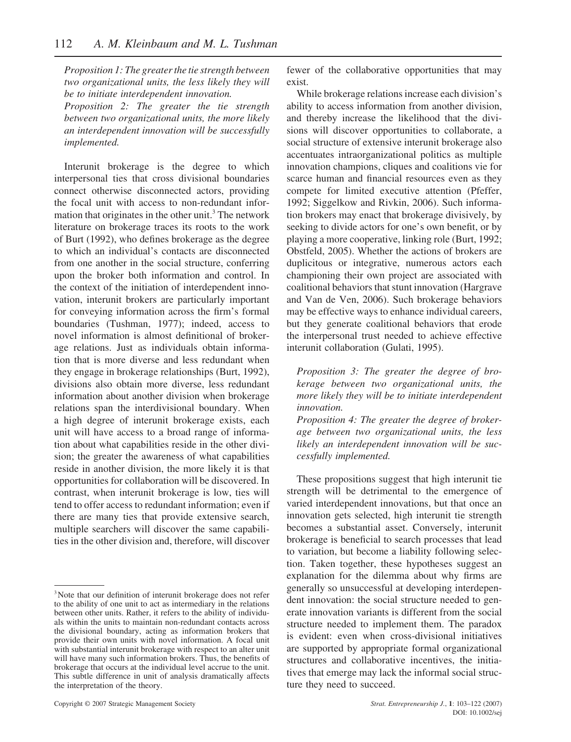*Proposition 1: The greaterthe tie strength between two organizational units, the less likely they will be to initiate interdependent innovation.*

*Proposition 2: The greater the tie strength between two organizational units, the more likely an interdependent innovation will be successfully implemented.*

Interunit brokerage is the degree to which interpersonal ties that cross divisional boundaries connect otherwise disconnected actors, providing the focal unit with access to non-redundant information that originates in the other unit.<sup>3</sup> The network literature on brokerage traces its roots to the work of Burt (1992), who defines brokerage as the degree to which an individual's contacts are disconnected from one another in the social structure, conferring upon the broker both information and control. In the context of the initiation of interdependent innovation, interunit brokers are particularly important for conveying information across the firm's formal boundaries (Tushman, 1977); indeed, access to novel information is almost definitional of brokerage relations. Just as individuals obtain information that is more diverse and less redundant when they engage in brokerage relationships (Burt, 1992), divisions also obtain more diverse, less redundant information about another division when brokerage relations span the interdivisional boundary. When a high degree of interunit brokerage exists, each unit will have access to a broad range of information about what capabilities reside in the other division; the greater the awareness of what capabilities reside in another division, the more likely it is that opportunities for collaboration will be discovered. In contrast, when interunit brokerage is low, ties will tend to offer access to redundant information; even if there are many ties that provide extensive search, multiple searchers will discover the same capabilities in the other division and, therefore, will discover

fewer of the collaborative opportunities that may exist.

While brokerage relations increase each division's ability to access information from another division, and thereby increase the likelihood that the divisions will discover opportunities to collaborate, a social structure of extensive interunit brokerage also accentuates intraorganizational politics as multiple innovation champions, cliques and coalitions vie for scarce human and financial resources even as they compete for limited executive attention (Pfeffer, 1992; Siggelkow and Rivkin, 2006). Such information brokers may enact that brokerage divisively, by seeking to divide actors for one's own benefit, or by playing a more cooperative, linking role (Burt, 1992; Obstfeld, 2005). Whether the actions of brokers are duplicitous or integrative, numerous actors each championing their own project are associated with coalitional behaviors that stunt innovation (Hargrave and Van de Ven, 2006). Such brokerage behaviors may be effective ways to enhance individual careers, but they generate coalitional behaviors that erode the interpersonal trust needed to achieve effective interunit collaboration (Gulati, 1995).

*Proposition 3: The greater the degree of brokerage between two organizational units, the more likely they will be to initiate interdependent innovation.*

*Proposition 4: The greater the degree of brokerage between two organizational units, the less likely an interdependent innovation will be successfully implemented.*

These propositions suggest that high interunit tie strength will be detrimental to the emergence of varied interdependent innovations, but that once an innovation gets selected, high interunit tie strength becomes a substantial asset. Conversely, interunit brokerage is beneficial to search processes that lead to variation, but become a liability following selection. Taken together, these hypotheses suggest an explanation for the dilemma about why firms are generally so unsuccessful at developing interdependent innovation: the social structure needed to generate innovation variants is different from the social structure needed to implement them. The paradox is evident: even when cross-divisional initiatives are supported by appropriate formal organizational structures and collaborative incentives, the initiatives that emerge may lack the informal social structure they need to succeed.

<sup>&</sup>lt;sup>3</sup>Note that our definition of interunit brokerage does not refer to the ability of one unit to act as intermediary in the relations between other units. Rather, it refers to the ability of individuals within the units to maintain non-redundant contacts across the divisional boundary, acting as information brokers that provide their own units with novel information. A focal unit with substantial interunit brokerage with respect to an alter unit will have many such information brokers. Thus, the benefits of brokerage that occurs at the individual level accrue to the unit. This subtle difference in unit of analysis dramatically affects the interpretation of the theory.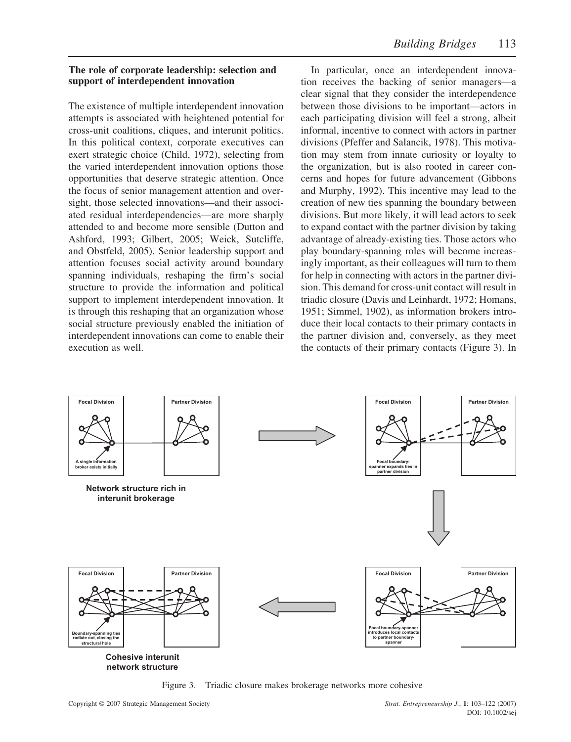#### **The role of corporate leadership: selection and support of interdependent innovation**

The existence of multiple interdependent innovation attempts is associated with heightened potential for cross-unit coalitions, cliques, and interunit politics. In this political context, corporate executives can exert strategic choice (Child, 1972), selecting from the varied interdependent innovation options those opportunities that deserve strategic attention. Once the focus of senior management attention and oversight, those selected innovations—and their associated residual interdependencies—are more sharply attended to and become more sensible (Dutton and Ashford, 1993; Gilbert, 2005; Weick, Sutcliffe, and Obstfeld, 2005). Senior leadership support and attention focuses social activity around boundary spanning individuals, reshaping the firm's social structure to provide the information and political support to implement interdependent innovation. It is through this reshaping that an organization whose social structure previously enabled the initiation of interdependent innovations can come to enable their execution as well.

In particular, once an interdependent innovation receives the backing of senior managers—a clear signal that they consider the interdependence between those divisions to be important—actors in each participating division will feel a strong, albeit informal, incentive to connect with actors in partner divisions (Pfeffer and Salancik, 1978). This motivation may stem from innate curiosity or loyalty to the organization, but is also rooted in career concerns and hopes for future advancement (Gibbons and Murphy, 1992). This incentive may lead to the creation of new ties spanning the boundary between divisions. But more likely, it will lead actors to seek to expand contact with the partner division by taking advantage of already-existing ties. Those actors who play boundary-spanning roles will become increasingly important, as their colleagues will turn to them for help in connecting with actors in the partner division. This demand for cross-unit contact will result in triadic closure (Davis and Leinhardt, 1972; Homans, 1951; Simmel, 1902), as information brokers introduce their local contacts to their primary contacts in the partner division and, conversely, as they meet the contacts of their primary contacts (Figure 3). In



**network structure** 

Figure 3. Triadic closure makes brokerage networks more cohesive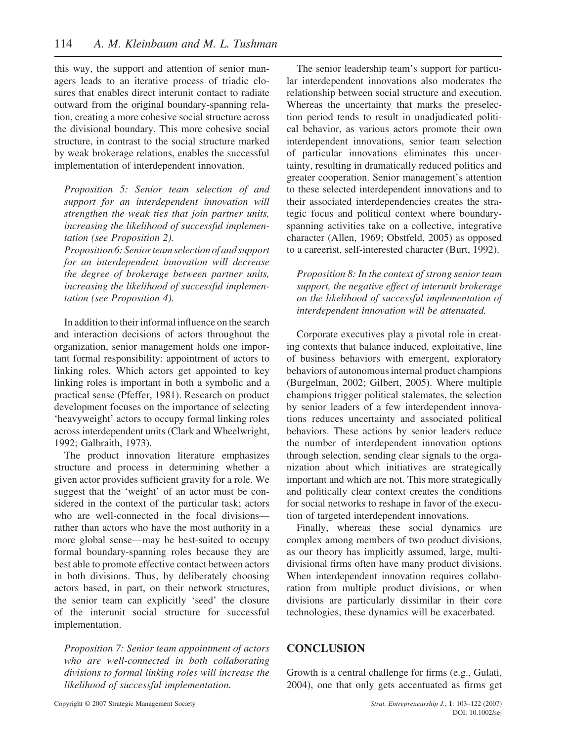this way, the support and attention of senior managers leads to an iterative process of triadic closures that enables direct interunit contact to radiate outward from the original boundary-spanning relation, creating a more cohesive social structure across the divisional boundary. This more cohesive social structure, in contrast to the social structure marked by weak brokerage relations, enables the successful implementation of interdependent innovation.

*Proposition 5: Senior team selection of and support for an interdependent innovation will strengthen the weak ties that join partner units, increasing the likelihood of successful implementation (see Proposition 2).*

*Proposition 6: Seniorteamselection of and support for an interdependent innovation will decrease the degree of brokerage between partner units, increasing the likelihood of successful implementation (see Proposition 4).*

In addition to their informal influence on the search and interaction decisions of actors throughout the organization, senior management holds one important formal responsibility: appointment of actors to linking roles. Which actors get appointed to key linking roles is important in both a symbolic and a practical sense (Pfeffer, 1981). Research on product development focuses on the importance of selecting 'heavyweight' actors to occupy formal linking roles across interdependent units (Clark and Wheelwright, 1992; Galbraith, 1973).

The product innovation literature emphasizes structure and process in determining whether a given actor provides sufficient gravity for a role. We suggest that the 'weight' of an actor must be considered in the context of the particular task; actors who are well-connected in the focal divisions rather than actors who have the most authority in a more global sense—may be best-suited to occupy formal boundary-spanning roles because they are best able to promote effective contact between actors in both divisions. Thus, by deliberately choosing actors based, in part, on their network structures, the senior team can explicitly 'seed' the closure of the interunit social structure for successful implementation.

*Proposition 7: Senior team appointment of actors who are well-connected in both collaborating divisions to formal linking roles will increase the likelihood of successful implementation.*

The senior leadership team's support for particular interdependent innovations also moderates the relationship between social structure and execution. Whereas the uncertainty that marks the preselection period tends to result in unadjudicated political behavior, as various actors promote their own interdependent innovations, senior team selection of particular innovations eliminates this uncertainty, resulting in dramatically reduced politics and greater cooperation. Senior management's attention to these selected interdependent innovations and to their associated interdependencies creates the strategic focus and political context where boundaryspanning activities take on a collective, integrative character (Allen, 1969; Obstfeld, 2005) as opposed to a careerist, self-interested character (Burt, 1992).

*Proposition 8: In the context of strong senior team support, the negative effect of interunit brokerage on the likelihood of successful implementation of interdependent innovation will be attenuated.*

Corporate executives play a pivotal role in creating contexts that balance induced, exploitative, line of business behaviors with emergent, exploratory behaviors of autonomous internal product champions (Burgelman, 2002; Gilbert, 2005). Where multiple champions trigger political stalemates, the selection by senior leaders of a few interdependent innovations reduces uncertainty and associated political behaviors. These actions by senior leaders reduce the number of interdependent innovation options through selection, sending clear signals to the organization about which initiatives are strategically important and which are not. This more strategically and politically clear context creates the conditions for social networks to reshape in favor of the execution of targeted interdependent innovations.

Finally, whereas these social dynamics are complex among members of two product divisions, as our theory has implicitly assumed, large, multidivisional firms often have many product divisions. When interdependent innovation requires collaboration from multiple product divisions, or when divisions are particularly dissimilar in their core technologies, these dynamics will be exacerbated.

## **CONCLUSION**

Growth is a central challenge for firms (e.g., Gulati, 2004), one that only gets accentuated as firms get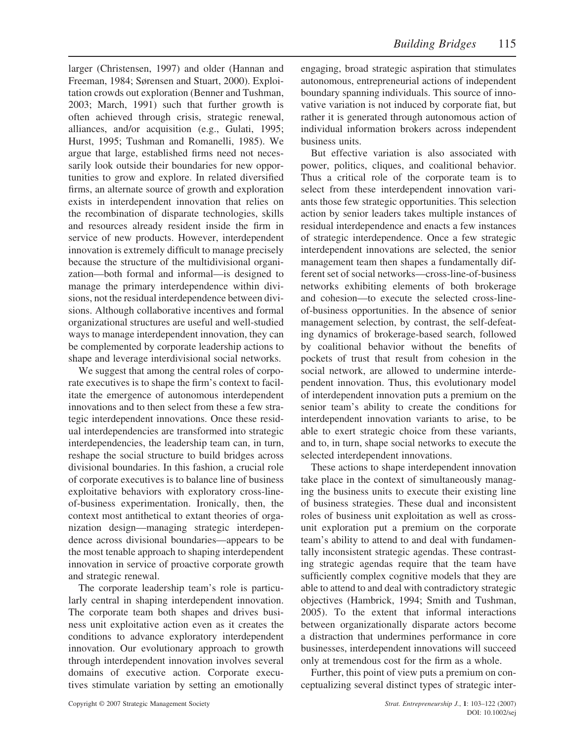larger (Christensen, 1997) and older (Hannan and Freeman, 1984; Sørensen and Stuart, 2000). Exploitation crowds out exploration (Benner and Tushman, 2003; March, 1991) such that further growth is often achieved through crisis, strategic renewal, alliances, and/or acquisition (e.g., Gulati, 1995; Hurst, 1995; Tushman and Romanelli, 1985). We argue that large, established firms need not necessarily look outside their boundaries for new opportunities to grow and explore. In related diversified firms, an alternate source of growth and exploration exists in interdependent innovation that relies on the recombination of disparate technologies, skills and resources already resident inside the firm in service of new products. However, interdependent innovation is extremely difficult to manage precisely because the structure of the multidivisional organization—both formal and informal—is designed to manage the primary interdependence within divisions, not the residual interdependence between divisions. Although collaborative incentives and formal organizational structures are useful and well-studied ways to manage interdependent innovation, they can be complemented by corporate leadership actions to shape and leverage interdivisional social networks.

We suggest that among the central roles of corporate executives is to shape the firm's context to facilitate the emergence of autonomous interdependent innovations and to then select from these a few strategic interdependent innovations. Once these residual interdependencies are transformed into strategic interdependencies, the leadership team can, in turn, reshape the social structure to build bridges across divisional boundaries. In this fashion, a crucial role of corporate executives is to balance line of business exploitative behaviors with exploratory cross-lineof-business experimentation. Ironically, then, the context most antithetical to extant theories of organization design—managing strategic interdependence across divisional boundaries—appears to be the most tenable approach to shaping interdependent innovation in service of proactive corporate growth and strategic renewal.

The corporate leadership team's role is particularly central in shaping interdependent innovation. The corporate team both shapes and drives business unit exploitative action even as it creates the conditions to advance exploratory interdependent innovation. Our evolutionary approach to growth through interdependent innovation involves several domains of executive action. Corporate executives stimulate variation by setting an emotionally engaging, broad strategic aspiration that stimulates autonomous, entrepreneurial actions of independent boundary spanning individuals. This source of innovative variation is not induced by corporate fiat, but rather it is generated through autonomous action of individual information brokers across independent business units.

But effective variation is also associated with power, politics, cliques, and coalitional behavior. Thus a critical role of the corporate team is to select from these interdependent innovation variants those few strategic opportunities. This selection action by senior leaders takes multiple instances of residual interdependence and enacts a few instances of strategic interdependence. Once a few strategic interdependent innovations are selected, the senior management team then shapes a fundamentally different set of social networks—cross-line-of-business networks exhibiting elements of both brokerage and cohesion—to execute the selected cross-lineof-business opportunities. In the absence of senior management selection, by contrast, the self-defeating dynamics of brokerage-based search, followed by coalitional behavior without the benefits of pockets of trust that result from cohesion in the social network, are allowed to undermine interdependent innovation. Thus, this evolutionary model of interdependent innovation puts a premium on the senior team's ability to create the conditions for interdependent innovation variants to arise, to be able to exert strategic choice from these variants, and to, in turn, shape social networks to execute the selected interdependent innovations.

These actions to shape interdependent innovation take place in the context of simultaneously managing the business units to execute their existing line of business strategies. These dual and inconsistent roles of business unit exploitation as well as crossunit exploration put a premium on the corporate team's ability to attend to and deal with fundamentally inconsistent strategic agendas. These contrasting strategic agendas require that the team have sufficiently complex cognitive models that they are able to attend to and deal with contradictory strategic objectives (Hambrick, 1994; Smith and Tushman, 2005). To the extent that informal interactions between organizationally disparate actors become a distraction that undermines performance in core businesses, interdependent innovations will succeed only at tremendous cost for the firm as a whole.

Further, this point of view puts a premium on conceptualizing several distinct types of strategic inter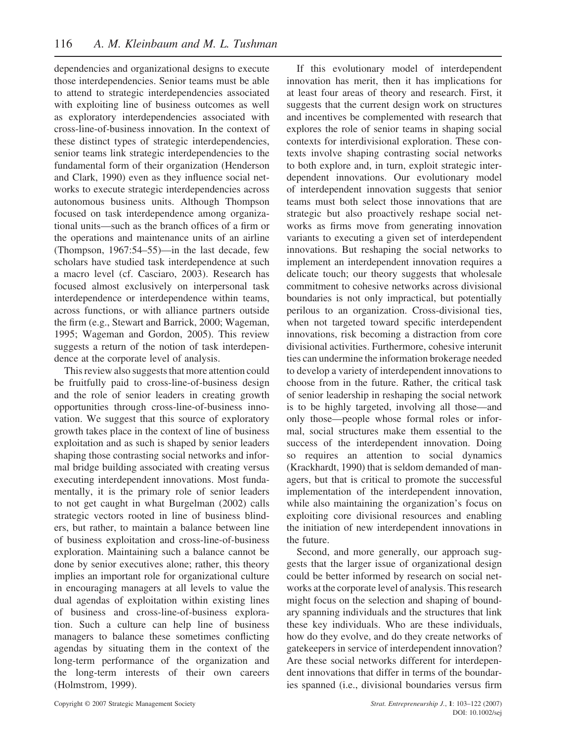dependencies and organizational designs to execute those interdependencies. Senior teams must be able to attend to strategic interdependencies associated with exploiting line of business outcomes as well as exploratory interdependencies associated with cross-line-of-business innovation. In the context of these distinct types of strategic interdependencies, senior teams link strategic interdependencies to the fundamental form of their organization (Henderson and Clark, 1990) even as they influence social networks to execute strategic interdependencies across autonomous business units. Although Thompson focused on task interdependence among organizational units—such as the branch offices of a firm or the operations and maintenance units of an airline (Thompson, 1967:54–55)—in the last decade, few scholars have studied task interdependence at such a macro level (cf. Casciaro, 2003). Research has focused almost exclusively on interpersonal task interdependence or interdependence within teams, across functions, or with alliance partners outside the firm (e.g., Stewart and Barrick, 2000; Wageman, 1995; Wageman and Gordon, 2005). This review suggests a return of the notion of task interdependence at the corporate level of analysis.

This review also suggests that more attention could be fruitfully paid to cross-line-of-business design and the role of senior leaders in creating growth opportunities through cross-line-of-business innovation. We suggest that this source of exploratory growth takes place in the context of line of business exploitation and as such is shaped by senior leaders shaping those contrasting social networks and informal bridge building associated with creating versus executing interdependent innovations. Most fundamentally, it is the primary role of senior leaders to not get caught in what Burgelman (2002) calls strategic vectors rooted in line of business blinders, but rather, to maintain a balance between line of business exploitation and cross-line-of-business exploration. Maintaining such a balance cannot be done by senior executives alone; rather, this theory implies an important role for organizational culture in encouraging managers at all levels to value the dual agendas of exploitation within existing lines of business and cross-line-of-business exploration. Such a culture can help line of business managers to balance these sometimes conflicting agendas by situating them in the context of the long-term performance of the organization and the long-term interests of their own careers (Holmstrom, 1999).

If this evolutionary model of interdependent innovation has merit, then it has implications for at least four areas of theory and research. First, it suggests that the current design work on structures and incentives be complemented with research that explores the role of senior teams in shaping social contexts for interdivisional exploration. These contexts involve shaping contrasting social networks to both explore and, in turn, exploit strategic interdependent innovations. Our evolutionary model of interdependent innovation suggests that senior teams must both select those innovations that are strategic but also proactively reshape social networks as firms move from generating innovation variants to executing a given set of interdependent innovations. But reshaping the social networks to implement an interdependent innovation requires a delicate touch; our theory suggests that wholesale commitment to cohesive networks across divisional boundaries is not only impractical, but potentially perilous to an organization. Cross-divisional ties, when not targeted toward specific interdependent innovations, risk becoming a distraction from core divisional activities. Furthermore, cohesive interunit ties can undermine the information brokerage needed to develop a variety of interdependent innovations to choose from in the future. Rather, the critical task of senior leadership in reshaping the social network is to be highly targeted, involving all those—and only those—people whose formal roles or informal, social structures make them essential to the success of the interdependent innovation. Doing so requires an attention to social dynamics (Krackhardt, 1990) that is seldom demanded of managers, but that is critical to promote the successful implementation of the interdependent innovation, while also maintaining the organization's focus on exploiting core divisional resources and enabling the initiation of new interdependent innovations in the future.

Second, and more generally, our approach suggests that the larger issue of organizational design could be better informed by research on social networks at the corporate level of analysis. This research might focus on the selection and shaping of boundary spanning individuals and the structures that link these key individuals. Who are these individuals, how do they evolve, and do they create networks of gatekeepers in service of interdependent innovation? Are these social networks different for interdependent innovations that differ in terms of the boundaries spanned (i.e., divisional boundaries versus firm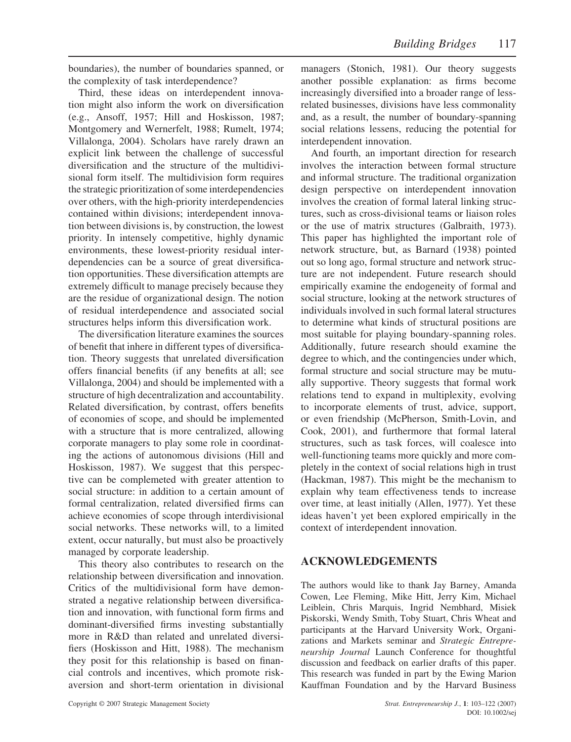boundaries), the number of boundaries spanned, or the complexity of task interdependence?

Third, these ideas on interdependent innovation might also inform the work on diversification (e.g., Ansoff, 1957; Hill and Hoskisson, 1987; Montgomery and Wernerfelt, 1988; Rumelt, 1974; Villalonga, 2004). Scholars have rarely drawn an explicit link between the challenge of successful diversification and the structure of the multidivisional form itself. The multidivision form requires the strategic prioritization of some interdependencies over others, with the high-priority interdependencies contained within divisions; interdependent innovation between divisions is, by construction, the lowest priority. In intensely competitive, highly dynamic environments, these lowest-priority residual interdependencies can be a source of great diversification opportunities. These diversification attempts are extremely difficult to manage precisely because they are the residue of organizational design. The notion of residual interdependence and associated social structures helps inform this diversification work.

The diversification literature examines the sources of benefit that inhere in different types of diversification. Theory suggests that unrelated diversification offers financial benefits (if any benefits at all; see Villalonga, 2004) and should be implemented with a structure of high decentralization and accountability. Related diversification, by contrast, offers benefits of economies of scope, and should be implemented with a structure that is more centralized, allowing corporate managers to play some role in coordinating the actions of autonomous divisions (Hill and Hoskisson, 1987). We suggest that this perspective can be complemeted with greater attention to social structure: in addition to a certain amount of formal centralization, related diversified firms can achieve economies of scope through interdivisional social networks. These networks will, to a limited extent, occur naturally, but must also be proactively managed by corporate leadership.

This theory also contributes to research on the relationship between diversification and innovation. Critics of the multidivisional form have demonstrated a negative relationship between diversification and innovation, with functional form firms and dominant-diversified firms investing substantially more in R&D than related and unrelated diversifiers (Hoskisson and Hitt, 1988). The mechanism they posit for this relationship is based on financial controls and incentives, which promote riskaversion and short-term orientation in divisional

managers (Stonich, 1981). Our theory suggests another possible explanation: as firms become increasingly diversified into a broader range of lessrelated businesses, divisions have less commonality and, as a result, the number of boundary-spanning social relations lessens, reducing the potential for interdependent innovation.

And fourth, an important direction for research involves the interaction between formal structure and informal structure. The traditional organization design perspective on interdependent innovation involves the creation of formal lateral linking structures, such as cross-divisional teams or liaison roles or the use of matrix structures (Galbraith, 1973). This paper has highlighted the important role of network structure, but, as Barnard (1938) pointed out so long ago, formal structure and network structure are not independent. Future research should empirically examine the endogeneity of formal and social structure, looking at the network structures of individuals involved in such formal lateral structures to determine what kinds of structural positions are most suitable for playing boundary-spanning roles. Additionally, future research should examine the degree to which, and the contingencies under which, formal structure and social structure may be mutually supportive. Theory suggests that formal work relations tend to expand in multiplexity, evolving to incorporate elements of trust, advice, support, or even friendship (McPherson, Smith-Lovin, and Cook, 2001), and furthermore that formal lateral structures, such as task forces, will coalesce into well-functioning teams more quickly and more completely in the context of social relations high in trust (Hackman, 1987). This might be the mechanism to explain why team effectiveness tends to increase over time, at least initially (Allen, 1977). Yet these ideas haven't yet been explored empirically in the context of interdependent innovation.

#### **ACKNOWLEDGEMENTS**

The authors would like to thank Jay Barney, Amanda Cowen, Lee Fleming, Mike Hitt, Jerry Kim, Michael Leiblein, Chris Marquis, Ingrid Nembhard, Misiek Piskorski, Wendy Smith, Toby Stuart, Chris Wheat and participants at the Harvard University Work, Organizations and Markets seminar and *Strategic Entrepreneurship Journal* Launch Conference for thoughtful discussion and feedback on earlier drafts of this paper. This research was funded in part by the Ewing Marion Kauffman Foundation and by the Harvard Business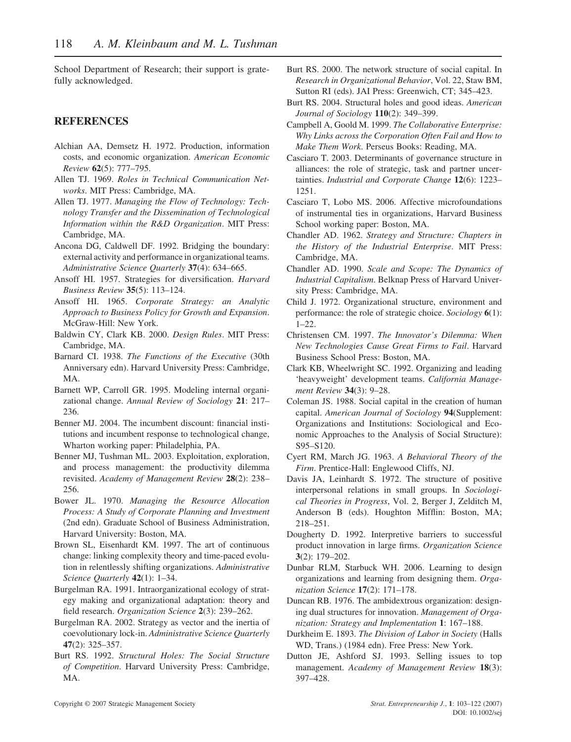School Department of Research; their support is gratefully acknowledged.

#### **REFERENCES**

- Alchian AA, Demsetz H. 1972. Production, information costs, and economic organization. *American Economic Review* **62**(5): 777–795.
- Allen TJ. 1969. *Roles in Technical Communication Networks*. MIT Press: Cambridge, MA.
- Allen TJ. 1977. *Managing the Flow of Technology: Technology Transfer and the Dissemination of Technological Information within the R&D Organization*. MIT Press: Cambridge, MA.
- Ancona DG, Caldwell DF. 1992. Bridging the boundary: external activity and performance in organizational teams. *Administrative Science Quarterly* **37**(4): 634–665.
- Ansoff HI. 1957. Strategies for diversification. *Harvard Business Review* **35**(5): 113–124.
- Ansoff HI. 1965. *Corporate Strategy: an Analytic Approach to Business Policy for Growth and Expansion*. McGraw-Hill: New York.
- Baldwin CY, Clark KB. 2000. *Design Rules*. MIT Press: Cambridge, MA.
- Barnard CI. 1938. *The Functions of the Executive* (30th Anniversary edn). Harvard University Press: Cambridge, MA.
- Barnett WP, Carroll GR. 1995. Modeling internal organizational change. *Annual Review of Sociology* **21**: 217– 236.
- Benner MJ. 2004. The incumbent discount: financial institutions and incumbent response to technological change, Wharton working paper: Philadelphia, PA.
- Benner MJ, Tushman ML. 2003. Exploitation, exploration, and process management: the productivity dilemma revisited. *Academy of Management Review* **28**(2): 238– 256.
- Bower JL. 1970. *Managing the Resource Allocation Process: A Study of Corporate Planning and Investment* (2nd edn). Graduate School of Business Administration, Harvard University: Boston, MA.
- Brown SL, Eisenhardt KM. 1997. The art of continuous change: linking complexity theory and time-paced evolution in relentlessly shifting organizations. *Administrative Science Quarterly* **42**(1): 1–34.
- Burgelman RA. 1991. Intraorganizational ecology of strategy making and organizational adaptation: theory and field research. *Organization Science* **2**(3): 239–262.
- Burgelman RA. 2002. Strategy as vector and the inertia of coevolutionary lock-in. *Administrative Science Quarterly* **47**(2): 325–357.
- Burt RS. 1992. *Structural Holes: The Social Structure of Competition*. Harvard University Press: Cambridge, MA.
- Burt RS. 2000. The network structure of social capital. In *Research in Organizational Behavior*, Vol. 22, Staw BM, Sutton RI (eds). JAI Press: Greenwich, CT; 345–423.
- Burt RS. 2004. Structural holes and good ideas. *American Journal of Sociology* **110**(2): 349–399.
- Campbell A, Goold M. 1999. *The Collaborative Enterprise: Why Links across the Corporation Often Fail and How to Make Them Work*. Perseus Books: Reading, MA.
- Casciaro T. 2003. Determinants of governance structure in alliances: the role of strategic, task and partner uncertainties. *Industrial and Corporate Change* **12**(6): 1223– 1251.
- Casciaro T, Lobo MS. 2006. Affective microfoundations of instrumental ties in organizations, Harvard Business School working paper: Boston, MA.
- Chandler AD. 1962. *Strategy and Structure: Chapters in the History of the Industrial Enterprise*. MIT Press: Cambridge, MA.
- Chandler AD. 1990. *Scale and Scope: The Dynamics of Industrial Capitalism*. Belknap Press of Harvard University Press: Cambridge, MA.
- Child J. 1972. Organizational structure, environment and performance: the role of strategic choice. *Sociology* **6**(1): 1–22.
- Christensen CM. 1997. *The Innovator's Dilemma: When New Technologies Cause Great Firms to Fail*. Harvard Business School Press: Boston, MA.
- Clark KB, Wheelwright SC. 1992. Organizing and leading 'heavyweight' development teams. *California Management Review* **34**(3): 9–28.
- Coleman JS. 1988. Social capital in the creation of human capital. *American Journal of Sociology* **94**(Supplement: Organizations and Institutions: Sociological and Economic Approaches to the Analysis of Social Structure): S95–S120.
- Cyert RM, March JG. 1963. *A Behavioral Theory of the Firm*. Prentice-Hall: Englewood Cliffs, NJ.
- Davis JA, Leinhardt S. 1972. The structure of positive interpersonal relations in small groups. In *Sociological Theories in Progress*, Vol. 2, Berger J, Zelditch M, Anderson B (eds). Houghton Mifflin: Boston, MA; 218–251.
- Dougherty D. 1992. Interpretive barriers to successful product innovation in large firms. *Organization Science* **3**(2): 179–202.
- Dunbar RLM, Starbuck WH. 2006. Learning to design organizations and learning from designing them. *Organization Science* **17**(2): 171–178.
- Duncan RB. 1976. The ambidextrous organization: designing dual structures for innovation. *Management of Organization: Strategy and Implementation* **1**: 167–188.
- Durkheim E. 1893. *The Division of Labor in Society* (Halls WD, Trans.) (1984 edn). Free Press: New York.
- Dutton JE, Ashford SJ. 1993. Selling issues to top management. *Academy of Management Review* **18**(3): 397–428.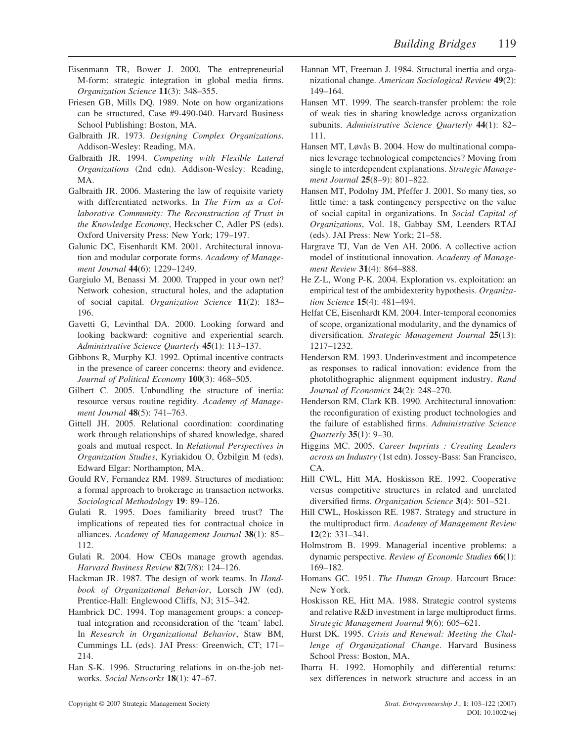- Eisenmann TR, Bower J. 2000. The entrepreneurial M-form: strategic integration in global media firms. *Organization Science* **11**(3): 348–355.
- Friesen GB, Mills DQ. 1989. Note on how organizations can be structured, Case #9-490-040. Harvard Business School Publishing: Boston, MA.
- Galbraith JR. 1973. *Designing Complex Organizations*. Addison-Wesley: Reading, MA.
- Galbraith JR. 1994. *Competing with Flexible Lateral Organizations* (2nd edn). Addison-Wesley: Reading, MA.
- Galbraith JR. 2006. Mastering the law of requisite variety with differentiated networks. In *The Firm as a Collaborative Community: The Reconstruction of Trust in the Knowledge Economy*, Heckscher C, Adler PS (eds). Oxford University Press: New York; 179–197.
- Galunic DC, Eisenhardt KM. 2001. Architectural innovation and modular corporate forms. *Academy of Management Journal* **44**(6): 1229–1249.
- Gargiulo M, Benassi M. 2000. Trapped in your own net? Network cohesion, structural holes, and the adaptation of social capital. *Organization Science* **11**(2): 183– 196.
- Gavetti G, Levinthal DA. 2000. Looking forward and looking backward: cognitive and experiential search. *Administrative Science Quarterly* **45**(1): 113–137.
- Gibbons R, Murphy KJ. 1992. Optimal incentive contracts in the presence of career concerns: theory and evidence. *Journal of Political Economy* **100**(3): 468–505.
- Gilbert C. 2005. Unbundling the structure of inertia: resource versus routine regidity. *Academy of Management Journal* **48**(5): 741–763.
- Gittell JH. 2005. Relational coordination: coordinating work through relationships of shared knowledge, shared goals and mutual respect. In *Relational Perspectives in Organization Studies*, Kyriakidou O, Özbilgin M (eds). Edward Elgar: Northampton, MA.
- Gould RV, Fernandez RM. 1989. Structures of mediation: a formal approach to brokerage in transaction networks. *Sociological Methodology* **19**: 89–126.
- Gulati R. 1995. Does familiarity breed trust? The implications of repeated ties for contractual choice in alliances. *Academy of Management Journal* **38**(1): 85– 112.
- Gulati R. 2004. How CEOs manage growth agendas. *Harvard Business Review* **82**(7/8): 124–126.
- Hackman JR. 1987. The design of work teams. In *Handbook of Organizational Behavior*, Lorsch JW (ed). Prentice-Hall: Englewood Cliffs, NJ; 315–342.
- Hambrick DC. 1994. Top management groups: a conceptual integration and reconsideration of the 'team' label. In *Research in Organizational Behavior*, Staw BM, Cummings LL (eds). JAI Press: Greenwich, CT; 171– 214.
- Han S-K. 1996. Structuring relations in on-the-job networks. *Social Networks* **18**(1): 47–67.
- Hannan MT, Freeman J. 1984. Structural inertia and organizational change. *American Sociological Review* **49**(2): 149–164.
- Hansen MT. 1999. The search-transfer problem: the role of weak ties in sharing knowledge across organization subunits. *Administrative Science Quarterly* **44**(1): 82– 111.
- Hansen MT, Løvås B. 2004. How do multinational companies leverage technological competencies? Moving from single to interdependent explanations. *Strategic Management Journal* **25**(8–9): 801–822.
- Hansen MT, Podolny JM, Pfeffer J. 2001. So many ties, so little time: a task contingency perspective on the value of social capital in organizations. In *Social Capital of Organizations*, Vol. 18, Gabbay SM, Leenders RTAJ (eds). JAI Press: New York; 21–58.
- Hargrave TJ, Van de Ven AH. 2006. A collective action model of institutional innovation. *Academy of Management Review* **31**(4): 864–888.
- He Z-L, Wong P-K. 2004. Exploration vs. exploitation: an empirical test of the ambidexterity hypothesis. *Organization Science* **15**(4): 481–494.
- Helfat CE, Eisenhardt KM. 2004. Inter-temporal economies of scope, organizational modularity, and the dynamics of diversification. *Strategic Management Journal* **25**(13): 1217–1232.
- Henderson RM. 1993. Underinvestment and incompetence as responses to radical innovation: evidence from the photolithographic alignment equipment industry. *Rand Journal of Economics* **24**(2): 248–270.
- Henderson RM, Clark KB. 1990. Architectural innovation: the reconfiguration of existing product technologies and the failure of established firms. *Administrative Science Quarterly* **35**(1): 9–30.
- Higgins MC. 2005. *Career Imprints : Creating Leaders across an Industry* (1st edn). Jossey-Bass: San Francisco, CA.
- Hill CWL, Hitt MA, Hoskisson RE. 1992. Cooperative versus competitive structures in related and unrelated diversified firms. *Organization Science* **3**(4): 501–521.
- Hill CWL, Hoskisson RE. 1987. Strategy and structure in the multiproduct firm. *Academy of Management Review* **12**(2): 331–341.
- Holmstrom B. 1999. Managerial incentive problems: a dynamic perspective. *Review of Economic Studies* **66**(1): 169–182.
- Homans GC. 1951. *The Human Group*. Harcourt Brace: New York.
- Hoskisson RE, Hitt MA. 1988. Strategic control systems and relative R&D investment in large multiproduct firms. *Strategic Management Journal* **9**(6): 605–621.
- Hurst DK. 1995. *Crisis and Renewal: Meeting the Challenge of Organizational Change*. Harvard Business School Press: Boston, MA.
- Ibarra H. 1992. Homophily and differential returns: sex differences in network structure and access in an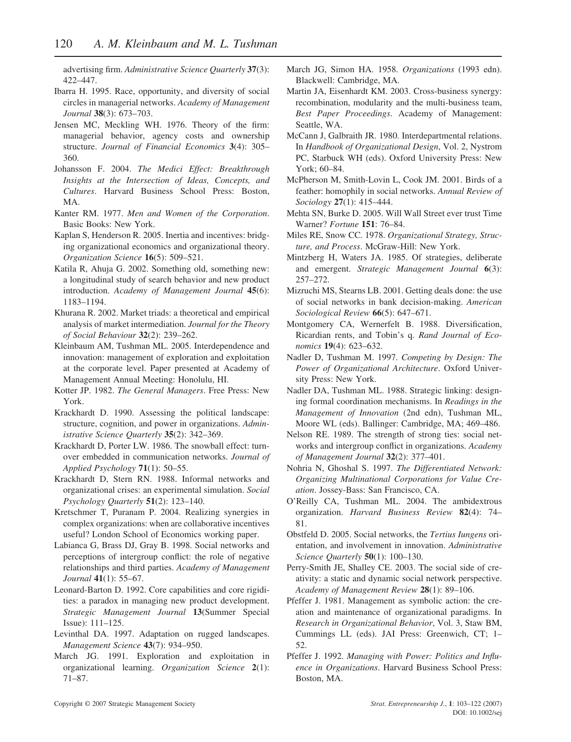advertising firm. *Administrative Science Quarterly* **37**(3): 422–447.

- Ibarra H. 1995. Race, opportunity, and diversity of social circles in managerial networks. *Academy of Management Journal* **38**(3): 673–703.
- Jensen MC, Meckling WH. 1976. Theory of the firm: managerial behavior, agency costs and ownership structure. *Journal of Financial Economics* **3**(4): 305– 360.
- Johansson F. 2004. *The Medici Effect: Breakthrough Insights at the Intersection of Ideas, Concepts, and Cultures*. Harvard Business School Press: Boston, MA.
- Kanter RM. 1977. *Men and Women of the Corporation*. Basic Books: New York.
- Kaplan S, Henderson R. 2005. Inertia and incentives: bridging organizational economics and organizational theory. *Organization Science* **16**(5): 509–521.
- Katila R, Ahuja G. 2002. Something old, something new: a longitudinal study of search behavior and new product introduction. *Academy of Management Journal* **45**(6): 1183–1194.
- Khurana R. 2002. Market triads: a theoretical and empirical analysis of market intermediation. *Journal for the Theory of Social Behaviour* **32**(2): 239–262.
- Kleinbaum AM, Tushman ML. 2005. Interdependence and innovation: management of exploration and exploitation at the corporate level. Paper presented at Academy of Management Annual Meeting: Honolulu, HI.
- Kotter JP. 1982. *The General Managers*. Free Press: New York.
- Krackhardt D. 1990. Assessing the political landscape: structure, cognition, and power in organizations. *Administrative Science Quarterly* **35**(2): 342–369.
- Krackhardt D, Porter LW. 1986. The snowball effect: turnover embedded in communication networks. *Journal of Applied Psychology* **71**(1): 50–55.
- Krackhardt D, Stern RN. 1988. Informal networks and organizational crises: an experimental simulation. *Social Psychology Quarterly* **51**(2): 123–140.
- Kretschmer T, Puranam P. 2004. Realizing synergies in complex organizations: when are collaborative incentives useful? London School of Economics working paper.
- Labianca G, Brass DJ, Gray B. 1998. Social networks and perceptions of intergroup conflict: the role of negative relationships and third parties. *Academy of Management Journal* **41**(1): 55–67.
- Leonard-Barton D. 1992. Core capabilities and core rigidities: a paradox in managing new product development. *Strategic Management Journal* **13**(Summer Special Issue): 111–125.
- Levinthal DA. 1997. Adaptation on rugged landscapes. *Management Science* **43**(7): 934–950.
- March JG. 1991. Exploration and exploitation in organizational learning. *Organization Science* **2**(1): 71–87.
- March JG, Simon HA. 1958. *Organizations* (1993 edn). Blackwell: Cambridge, MA.
- Martin JA, Eisenhardt KM. 2003. Cross-business synergy: recombination, modularity and the multi-business team, *Best Paper Proceedings*. Academy of Management: Seattle, WA.
- McCann J, Galbraith JR. 1980. Interdepartmental relations. In *Handbook of Organizational Design*, Vol. 2, Nystrom PC, Starbuck WH (eds). Oxford University Press: New York; 60–84.
- McPherson M, Smith-Lovin L, Cook JM. 2001. Birds of a feather: homophily in social networks. *Annual Review of Sociology* **27**(1): 415–444.
- Mehta SN, Burke D. 2005. Will Wall Street ever trust Time Warner? *Fortune* **151**: 76–84.
- Miles RE, Snow CC. 1978. *Organizational Strategy, Structure, and Process*. McGraw-Hill: New York.
- Mintzberg H, Waters JA. 1985. Of strategies, deliberate and emergent. *Strategic Management Journal* **6**(3): 257–272.
- Mizruchi MS, Stearns LB. 2001. Getting deals done: the use of social networks in bank decision-making. *American Sociological Review* **66**(5): 647–671.
- Montgomery CA, Wernerfelt B. 1988. Diversification, Ricardian rents, and Tobin's q. *Rand Journal of Economics* **19**(4): 623–632.
- Nadler D, Tushman M. 1997. *Competing by Design: The Power of Organizational Architecture*. Oxford University Press: New York.
- Nadler DA, Tushman ML. 1988. Strategic linking: designing formal coordination mechanisms. In *Readings in the Management of Innovation* (2nd edn), Tushman ML, Moore WL (eds). Ballinger: Cambridge, MA; 469–486.
- Nelson RE. 1989. The strength of strong ties: social networks and intergroup conflict in organizations. *Academy of Management Journal* **32**(2): 377–401.
- Nohria N, Ghoshal S. 1997. *The Differentiated Network: Organizing Multinational Corporations for Value Creation*. Jossey-Bass: San Francisco, CA.
- O'Reilly CA, Tushman ML. 2004. The ambidextrous organization. *Harvard Business Review* **82**(4): 74– 81.
- Obstfeld D. 2005. Social networks, the *Tertius Iungens* orientation, and involvement in innovation. *Administrative Science Quarterly* **50**(1): 100–130.
- Perry-Smith JE, Shalley CE. 2003. The social side of creativity: a static and dynamic social network perspective. *Academy of Management Review* **28**(1): 89–106.
- Pfeffer J. 1981. Management as symbolic action: the creation and maintenance of organizational paradigms. In *Research in Organizational Behavior*, Vol. 3, Staw BM, Cummings LL (eds). JAI Press: Greenwich, CT; 1– 52.
- Pfeffer J. 1992. Managing with Power: Politics and Influ*ence in Organizations*. Harvard Business School Press: Boston, MA.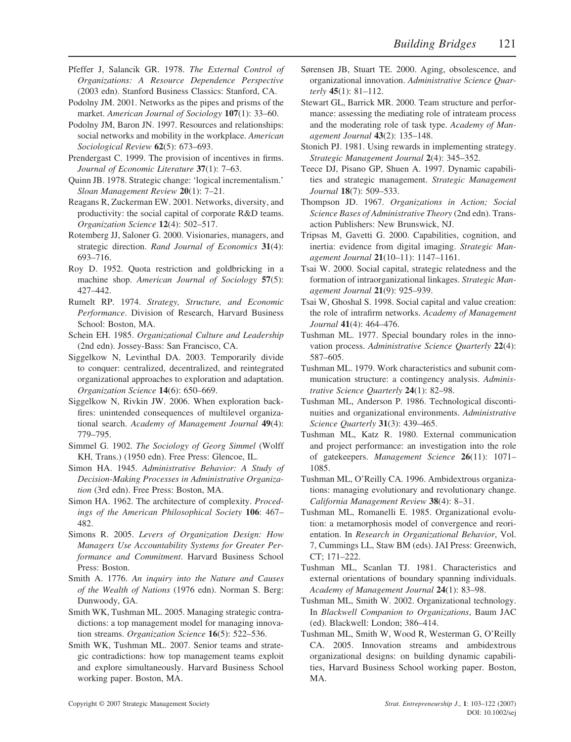- Pfeffer J, Salancik GR. 1978. *The External Control of Organizations: A Resource Dependence Perspective* (2003 edn). Stanford Business Classics: Stanford, CA.
- Podolny JM. 2001. Networks as the pipes and prisms of the market. *American Journal of Sociology* **107**(1): 33–60.
- Podolny JM, Baron JN. 1997. Resources and relationships: social networks and mobility in the workplace. *American Sociological Review* **62**(5): 673–693.
- Prendergast C. 1999. The provision of incentives in firms. *Journal of Economic Literature* **37**(1): 7–63.
- Quinn JB. 1978. Strategic change: 'logical incrementalism.' *Sloan Management Review* **20**(1): 7–21.
- Reagans R, Zuckerman EW. 2001. Networks, diversity, and productivity: the social capital of corporate R&D teams. *Organization Science* **12**(4): 502–517.
- Rotemberg JJ, Saloner G. 2000. Visionaries, managers, and strategic direction. *Rand Journal of Economics* **31**(4): 693–716.
- Roy D. 1952. Quota restriction and goldbricking in a machine shop. *American Journal of Sociology* **57**(5): 427–442.
- Rumelt RP. 1974. *Strategy, Structure, and Economic Performance*. Division of Research, Harvard Business School: Boston, MA.
- Schein EH. 1985. *Organizational Culture and Leadership* (2nd edn). Jossey-Bass: San Francisco, CA.
- Siggelkow N, Levinthal DA. 2003. Temporarily divide to conquer: centralized, decentralized, and reintegrated organizational approaches to exploration and adaptation. *Organization Science* **14**(6): 650–669.
- Siggelkow N, Rivkin JW. 2006. When exploration backfires: unintended consequences of multilevel organizational search. *Academy of Management Journal* **49**(4): 779–795.
- Simmel G. 1902. *The Sociology of Georg Simmel* (Wolff KH, Trans.) (1950 edn). Free Press: Glencoe, IL.
- Simon HA. 1945. *Administrative Behavior: A Study of Decision-Making Processes in Administrative Organization* (3rd edn). Free Press: Boston, MA.
- Simon HA. 1962. The architecture of complexity. *Procedings of the American Philosophical Society* **106**: 467– 482.
- Simons R. 2005. *Levers of Organization Design: How Managers Use Accountability Systems for Greater Performance and Commitment*. Harvard Business School Press: Boston.
- Smith A. 1776. *An inquiry into the Nature and Causes of the Wealth of Nations* (1976 edn). Norman S. Berg: Dunwoody, GA.
- Smith WK, Tushman ML. 2005. Managing strategic contradictions: a top management model for managing innovation streams. *Organization Science* **16**(5): 522–536.
- Smith WK, Tushman ML. 2007. Senior teams and strategic contradictions: how top management teams exploit and explore simultaneously. Harvard Business School working paper. Boston, MA.
- Sørensen JB, Stuart TE. 2000. Aging, obsolescence, and organizational innovation. *Administrative Science Quarterly* **45**(1): 81–112.
- Stewart GL, Barrick MR. 2000. Team structure and performance: assessing the mediating role of intrateam process and the moderating role of task type. *Academy of Management Journal* **43**(2): 135–148.
- Stonich PJ. 1981. Using rewards in implementing strategy. *Strategic Management Journal* **2**(4): 345–352.
- Teece DJ, Pisano GP, Shuen A. 1997. Dynamic capabilities and strategic management. *Strategic Management Journal* **18**(7): 509–533.
- Thompson JD. 1967. *Organizations in Action; Social Science Bases of Administrative Theory* (2nd edn). Transaction Publishers: New Brunswick, NJ.
- Tripsas M, Gavetti G. 2000. Capabilities, cognition, and inertia: evidence from digital imaging. *Strategic Management Journal* **21**(10–11): 1147–1161.
- Tsai W. 2000. Social capital, strategic relatedness and the formation of intraorganizational linkages. *Strategic Management Journal* **21**(9): 925–939.
- Tsai W, Ghoshal S. 1998. Social capital and value creation: the role of intrafirm networks. *Academy of Management Journal* **41**(4): 464–476.
- Tushman ML. 1977. Special boundary roles in the innovation process. *Administrative Science Quarterly* **22**(4): 587–605.
- Tushman ML. 1979. Work characteristics and subunit communication structure: a contingency analysis. *Administrative Science Quarterly* **24**(1): 82–98.
- Tushman ML, Anderson P. 1986. Technological discontinuities and organizational environments. *Administrative Science Quarterly* **31**(3): 439–465.
- Tushman ML, Katz R. 1980. External communication and project performance: an investigation into the role of gatekeepers. *Management Science* **26**(11): 1071– 1085.
- Tushman ML, O'Reilly CA. 1996. Ambidextrous organizations: managing evolutionary and revolutionary change. *California Management Review* **38**(4): 8–31.
- Tushman ML, Romanelli E. 1985. Organizational evolution: a metamorphosis model of convergence and reorientation. In *Research in Organizational Behavior*, Vol. 7, Cummings LL, Staw BM (eds). JAI Press: Greenwich, CT; 171–222.
- Tushman ML, Scanlan TJ. 1981. Characteristics and external orientations of boundary spanning individuals. *Academy of Management Journal* **24**(1): 83–98.
- Tushman ML, Smith W. 2002. Organizational technology. In *Blackwell Companion to Organizations*, Baum JAC (ed). Blackwell: London; 386–414.
- Tushman ML, Smith W, Wood R, Westerman G, O'Reilly CA. 2005. Innovation streams and ambidextrous organizational designs: on building dynamic capabilities, Harvard Business School working paper. Boston, MA.